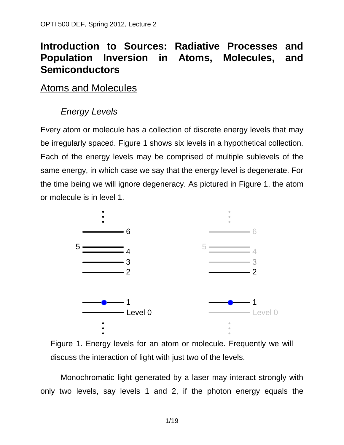# **Introduction to Sources: Radiative Processes and Population Inversion in Atoms, Molecules, and Semiconductors**

## Atoms and Molecules

# *Energy Levels*

Every atom or molecule has a collection of discrete energy levels that may be irregularly spaced. Figure 1 shows six levels in a hypothetical collection. Each of the energy levels may be comprised of multiple sublevels of the same energy, in which case we say that the energy level is degenerate. For the time being we will ignore degeneracy. As pictured in Figure 1, the atom or molecule is in level 1.





Monochromatic light generated by a laser may interact strongly with only two levels, say levels 1 and 2, if the photon energy equals the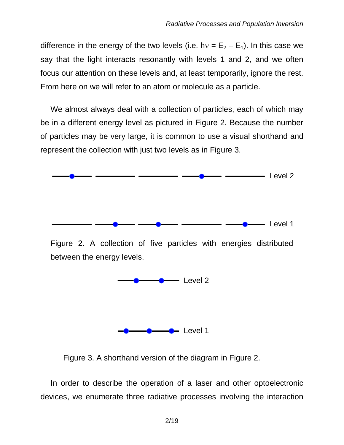difference in the energy of the two levels (i.e.  $hv = E_2 - E_1$ ). In this case we say that the light interacts resonantly with levels 1 and 2, and we often focus our attention on these levels and, at least temporarily, ignore the rest. From here on we will refer to an atom or molecule as a particle.

We almost always deal with a collection of particles, each of which may be in a different energy level as pictured in Figure 2. Because the number of particles may be very large, it is common to use a visual shorthand and represent the collection with just two levels as in Figure 3.



Figure 2. A collection of five particles with energies distributed between the energy levels.



Figure 3. A shorthand version of the diagram in Figure 2.

In order to describe the operation of a laser and other optoelectronic devices, we enumerate three radiative processes involving the interaction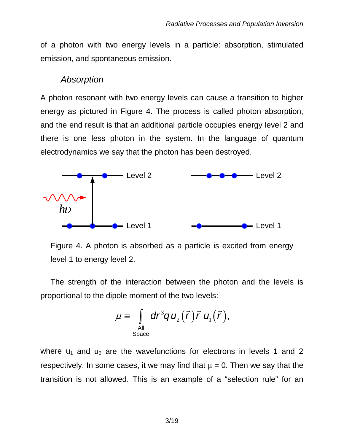of a photon with two energy levels in a particle: absorption, stimulated emission, and spontaneous emission.

#### *Absorption*

A photon resonant with two energy levels can cause a transition to higher energy as pictured in Figure 4. The process is called photon absorption, and the end result is that an additional particle occupies energy level 2 and there is one less photon in the system. In the language of quantum electrodynamics we say that the photon has been destroyed.



Figure 4. A photon is absorbed as a particle is excited from energy level 1 to energy level 2.

The strength of the interaction between the photon and the levels is proportional to the dipole moment of the two levels:

$$
\mu \equiv \int_{\text{All}\atop \text{Space}} dr^3 q u_2(\vec{r}) \vec{r} u_1(\vec{r}),
$$

where  $u_1$  and  $u_2$  are the wavefunctions for electrons in levels 1 and 2 respectively. In some cases, it we may find that  $\mu = 0$ . Then we say that the transition is not allowed. This is an example of a "selection rule" for an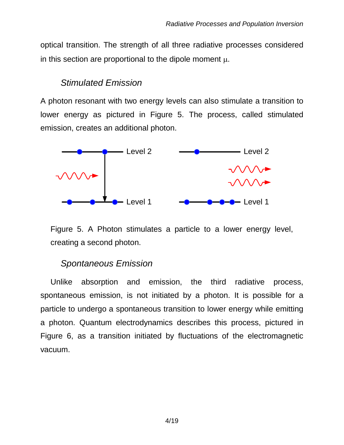optical transition. The strength of all three radiative processes considered in this section are proportional to the dipole moment  $\mu$ .

### *Stimulated Emission*

A photon resonant with two energy levels can also stimulate a transition to lower energy as pictured in Figure 5. The process, called stimulated emission, creates an additional photon.



Figure 5. A Photon stimulates a particle to a lower energy level, creating a second photon.

## *Spontaneous Emission*

Unlike absorption and emission, the third radiative process, spontaneous emission, is not initiated by a photon. It is possible for a particle to undergo a spontaneous transition to lower energy while emitting a photon. Quantum electrodynamics describes this process, pictured in Figure 6, as a transition initiated by fluctuations of the electromagnetic vacuum.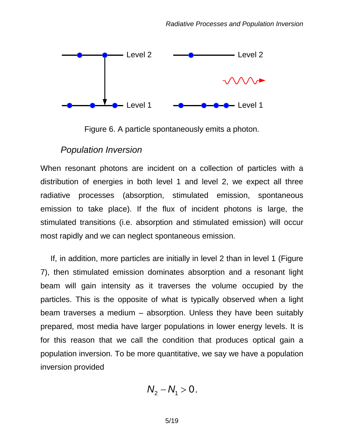

Figure 6. A particle spontaneously emits a photon.

#### *Population Inversion*

When resonant photons are incident on a collection of particles with a distribution of energies in both level 1 and level 2, we expect all three radiative processes (absorption, stimulated emission, spontaneous emission to take place). If the flux of incident photons is large, the stimulated transitions (i.e. absorption and stimulated emission) will occur most rapidly and we can neglect spontaneous emission.

If, in addition, more particles are initially in level 2 than in level 1 (Figure 7), then stimulated emission dominates absorption and a resonant light beam will gain intensity as it traverses the volume occupied by the particles. This is the opposite of what is typically observed when a light beam traverses a medium – absorption. Unless they have been suitably prepared, most media have larger populations in lower energy levels. It is for this reason that we call the condition that produces optical gain a population inversion. To be more quantitative, we say we have a population inversion provided

$$
N_2-N_1>0,
$$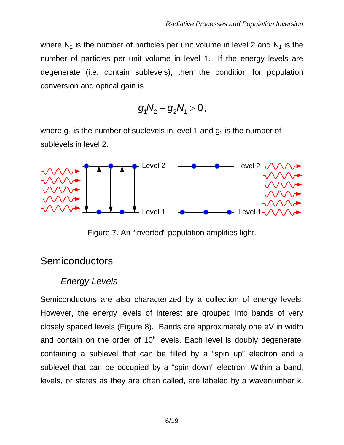where  $N_2$  is the number of particles per unit volume in level 2 and  $N_1$  is the number of particles per unit volume in level 1. If the energy levels are degenerate (i.e. contain sublevels), then the condition for population conversion and optical gain is

$$
g_1 N_2 - g_2 N_1 > 0,
$$

where  $g_1$  is the number of sublevels in level 1 and  $g_2$  is the number of sublevels in level 2.



Figure 7. An "inverted" population amplifies light.

# **Semiconductors**

## *Energy Levels*

Semiconductors are also characterized by a collection of energy levels. However, the energy levels of interest are grouped into bands of very closely spaced levels (Figure 8). Bands are approximately one eV in width and contain on the order of  $10<sup>8</sup>$  levels. Each level is doubly degenerate, containing a sublevel that can be filled by a "spin up" electron and a sublevel that can be occupied by a "spin down" electron. Within a band, levels, or states as they are often called, are labeled by a wavenumber k.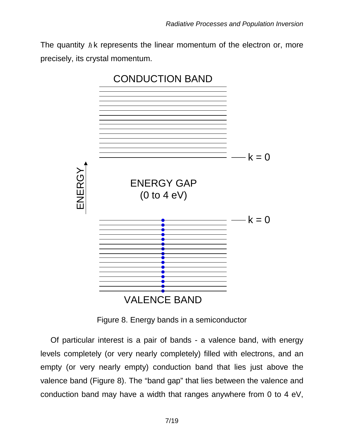The quantity  $\hbar$  k represents the linear momentum of the electron or, more precisely, its crystal momentum.



Figure 8. Energy bands in a semiconductor

Of particular interest is a pair of bands - a valence band, with energy levels completely (or very nearly completely) filled with electrons, and an empty (or very nearly empty) conduction band that lies just above the valence band (Figure 8). The "band gap" that lies between the valence and conduction band may have a width that ranges anywhere from 0 to 4 eV,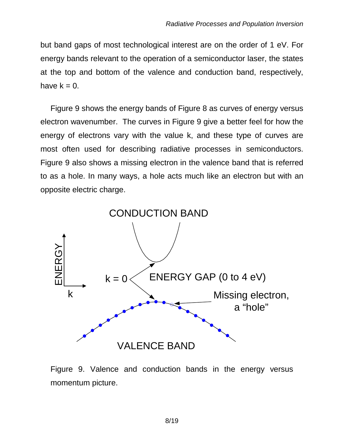but band gaps of most technological interest are on the order of 1 eV. For energy bands relevant to the operation of a semiconductor laser, the states at the top and bottom of the valence and conduction band, respectively, have  $k = 0$ .

Figure 9 shows the energy bands of Figure 8 as curves of energy versus electron wavenumber. The curves in Figure 9 give a better feel for how the energy of electrons vary with the value k, and these type of curves are most often used for describing radiative processes in semiconductors. Figure 9 also shows a missing electron in the valence band that is referred to as a hole. In many ways, a hole acts much like an electron but with an opposite electric charge.



Figure 9. Valence and conduction bands in the energy versus momentum picture.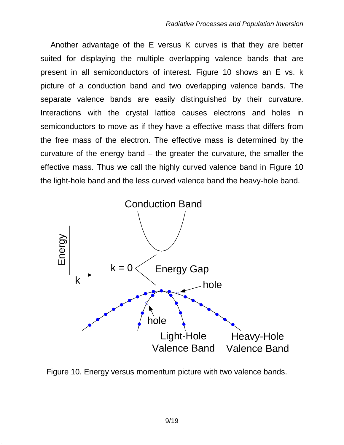Another advantage of the E versus K curves is that they are better suited for displaying the multiple overlapping valence bands that are present in all semiconductors of interest. Figure 10 shows an E vs. k picture of a conduction band and two overlapping valence bands. The separate valence bands are easily distinguished by their curvature. Interactions with the crystal lattice causes electrons and holes in semiconductors to move as if they have a effective mass that differs from the free mass of the electron. The effective mass is determined by the curvature of the energy band – the greater the curvature, the smaller the effective mass. Thus we call the highly curved valence band in Figure 10 the light-hole band and the less curved valence band the heavy-hole band.



Figure 10. Energy versus momentum picture with two valence bands.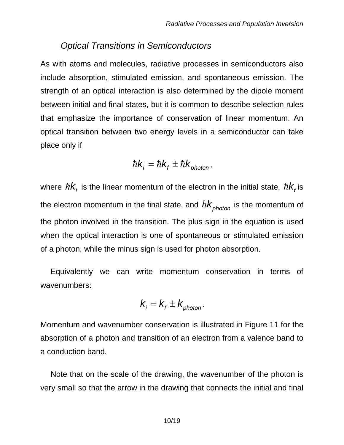#### *Optical Transitions in Semiconductors*

As with atoms and molecules, radiative processes in semiconductors also include absorption, stimulated emission, and spontaneous emission. The strength of an optical interaction is also determined by the dipole moment between initial and final states, but it is common to describe selection rules that emphasize the importance of conservation of linear momentum. An optical transition between two energy levels in a semiconductor can take place only if

$$
\hbar k_{i} = \hbar k_{f} \pm \hbar k_{\text{photon}},
$$

where  $\hbar k_i$  is the linear momentum of the electron in the initial state,  $\hbar k_i$  is the electron momentum in the final state, and  $\hbar k_{\text{photon}}$  is the momentum of the photon involved in the transition. The plus sign in the equation is used when the optical interaction is one of spontaneous or stimulated emission of a photon, while the minus sign is used for photon absorption.

Equivalently we can write momentum conservation in terms of wavenumbers:

$$
k_i = k_f \pm k_{photon}.
$$

Momentum and wavenumber conservation is illustrated in Figure 11 for the absorption of a photon and transition of an electron from a valence band to a conduction band.

Note that on the scale of the drawing, the wavenumber of the photon is very small so that the arrow in the drawing that connects the initial and final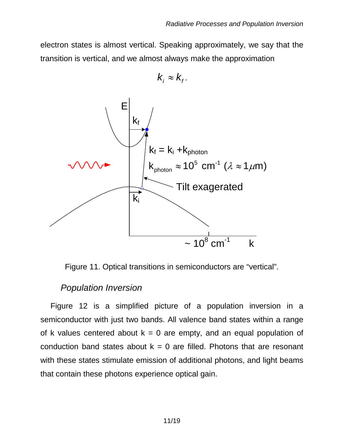electron states is almost vertical. Speaking approximately, we say that the transition is vertical, and we almost always make the approximation

$$
k_i \approx k_{f}.
$$



Figure 11. Optical transitions in semiconductors are "vertical".

#### *Population Inversion*

Figure 12 is a simplified picture of a population inversion in a semiconductor with just two bands. All valence band states within a range of k values centered about  $k = 0$  are empty, and an equal population of conduction band states about  $k = 0$  are filled. Photons that are resonant with these states stimulate emission of additional photons, and light beams that contain these photons experience optical gain.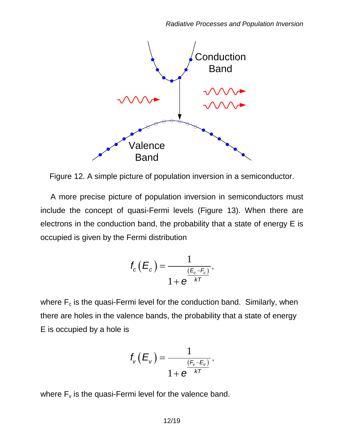

Figure 12. A simple picture of population inversion in a semiconductor.

A more precise picture of population inversion in semiconductors must include the concept of quasi-Fermi levels (Figure 13). When there are electrons in the conduction band, the probability that a state of energy E is occupied is given by the Fermi distribution

$$
f_c(E_c) = \frac{1}{1 + e^{-kT}},
$$

where  $F_c$  is the quasi-Fermi level for the conduction band. Similarly, when there are holes in the valence bands, the probability that a state of energy E is occupied by a hole is

$$
f_{\mathsf{v}}(E_{\mathsf{v}}) = \frac{1}{1 + e^{-kT}},
$$

where  $F_v$  is the quasi-Fermi level for the valence band.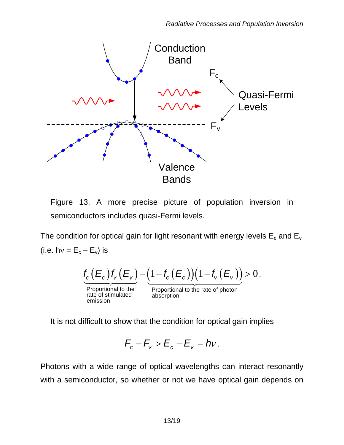

Figure 13. A more precise picture of population inversion in semiconductors includes quasi-Fermi levels.

The condition for optical gain for light resonant with energy levels  $E_c$  and  $E_v$ (i.e. hv =  $E_c - E_v$ ) is

$$
\underbrace{f_c\left(E_c\right)f_v\left(E_v\right)}_{\text{Proportional to the}} - \underbrace{\left(1 - f_c\left(E_c\right)\right)\left(1 - f_v\left(E_v\right)\right)}_{\text{Proportional to the rate of photon}} > 0.
$$

Proportional to the Proportional to the rate of photon<br>rate of stimulated absorption<br>emission

It is not difficult to show that the condition for optical gain implies

$$
F_c-F_v>E_c-E_v=hv.
$$

Photons with a wide range of optical wavelengths can interact resonantly with a semiconductor, so whether or not we have optical gain depends on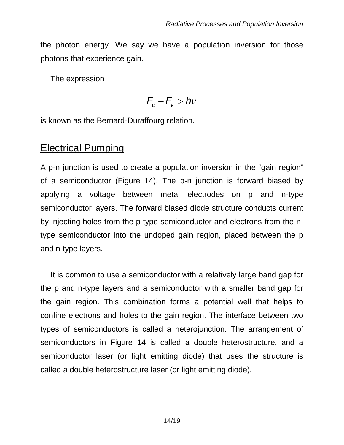the photon energy. We say we have a population inversion for those photons that experience gain.

The expression

$$
F_c-F_v>hv
$$

is known as the Bernard-Duraffourg relation.

## Electrical Pumping

A p-n junction is used to create a population inversion in the "gain region" of a semiconductor (Figure 14). The p-n junction is forward biased by applying a voltage between metal electrodes on p and n-type semiconductor layers. The forward biased diode structure conducts current by injecting holes from the p-type semiconductor and electrons from the ntype semiconductor into the undoped gain region, placed between the p and n-type layers.

It is common to use a semiconductor with a relatively large band gap for the p and n-type layers and a semiconductor with a smaller band gap for the gain region. This combination forms a potential well that helps to confine electrons and holes to the gain region. The interface between two types of semiconductors is called a heterojunction. The arrangement of semiconductors in Figure 14 is called a double heterostructure, and a semiconductor laser (or light emitting diode) that uses the structure is called a double heterostructure laser (or light emitting diode).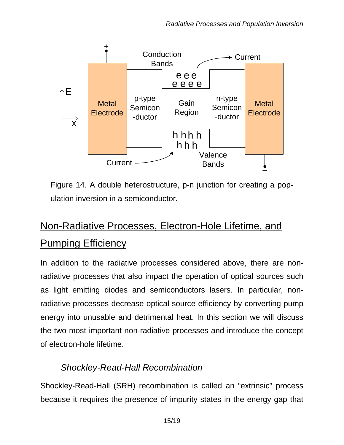

Figure 14. A double heterostructure, p-n junction for creating a population inversion in a semiconductor.

# Non-Radiative Processes, Electron-Hole Lifetime, and Pumping Efficiency

In addition to the radiative processes considered above, there are nonradiative processes that also impact the operation of optical sources such as light emitting diodes and semiconductors lasers. In particular, nonradiative processes decrease optical source efficiency by converting pump energy into unusable and detrimental heat. In this section we will discuss the two most important non-radiative processes and introduce the concept of electron-hole lifetime.

## *Shockley-Read-Hall Recombination*

Shockley-Read-Hall (SRH) recombination is called an "extrinsic" process because it requires the presence of impurity states in the energy gap that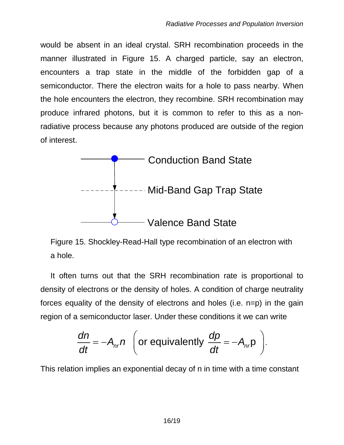would be absent in an ideal crystal. SRH recombination proceeds in the manner illustrated in Figure 15. A charged particle, say an electron, encounters a trap state in the middle of the forbidden gap of a semiconductor. There the electron waits for a hole to pass nearby. When the hole encounters the electron, they recombine. SRH recombination may produce infrared photons, but it is common to refer to this as a nonradiative process because any photons produced are outside of the region of interest.



Figure 15. Shockley-Read-Hall type recombination of an electron with a hole.

It often turns out that the SRH recombination rate is proportional to density of electrons or the density of holes. A condition of charge neutrality forces equality of the density of electrons and holes (i.e. n=p) in the gain region of a semiconductor laser. Under these conditions it we can write

$$
\frac{dn}{dt} = -A_{nr}n \text{ (or equivalently } \frac{dp}{dt} = -A_{nr}p \text{ ).}
$$

This relation implies an exponential decay of n in time with a time constant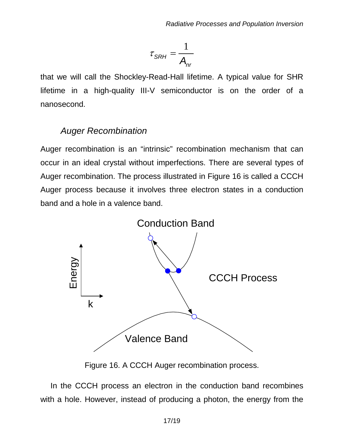$$
\tau_{SRH} = \frac{1}{A_{nr}}
$$

that we will call the Shockley-Read-Hall lifetime. A typical value for SHR lifetime in a high-quality III-V semiconductor is on the order of a nanosecond.

### *Auger Recombination*

Auger recombination is an "intrinsic" recombination mechanism that can occur in an ideal crystal without imperfections. There are several types of Auger recombination. The process illustrated in Figure 16 is called a CCCH Auger process because it involves three electron states in a conduction band and a hole in a valence band.



Figure 16. A CCCH Auger recombination process.

In the CCCH process an electron in the conduction band recombines with a hole. However, instead of producing a photon, the energy from the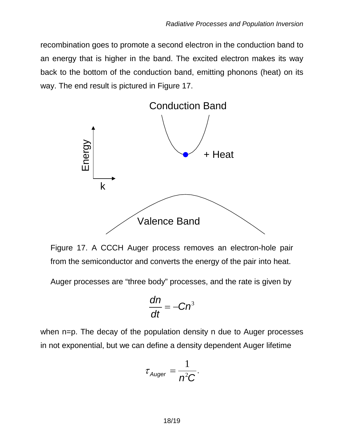recombination goes to promote a second electron in the conduction band to an energy that is higher in the band. The excited electron makes its way back to the bottom of the conduction band, emitting phonons (heat) on its way. The end result is pictured in Figure 17.



Figure 17. A CCCH Auger process removes an electron-hole pair from the semiconductor and converts the energy of the pair into heat.

Auger processes are "three body" processes, and the rate is given by

$$
\frac{dn}{dt}=-Cn^3
$$

when n=p. The decay of the population density n due to Auger processes in not exponential, but we can define a density dependent Auger lifetime

$$
\tau_{Auger} = \frac{1}{n^2C}.
$$